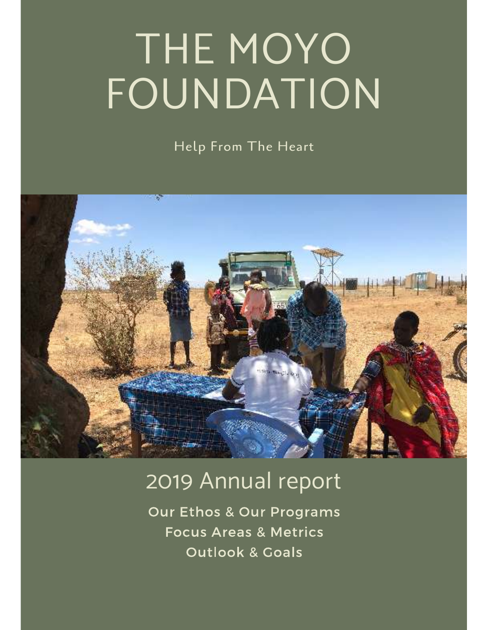# THE MOYO FOUNDATION

Help From The Heart



# 2019 Annual report

**Our Ethos & Our Programs Focus Areas & Metrics Outlook & Goals**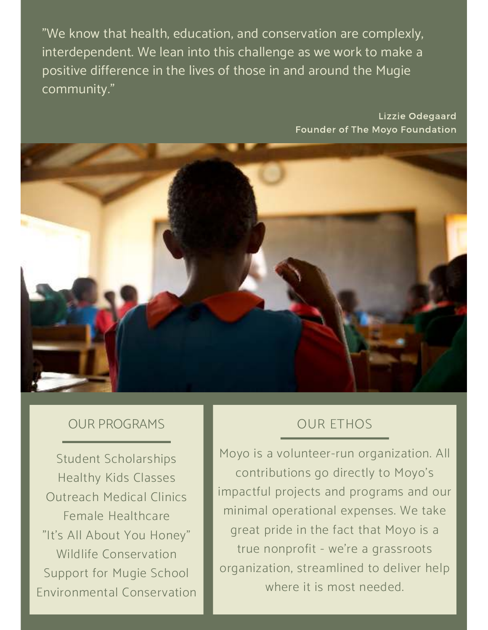"We know that health, education, and conservation are complexly, interdependent. We lean into this challenge as we work to make a positive difference in the lives of those in and around the Mugie community."

> Lizzie Odegaard Founder of The Moyo Foundation



#### **OUR PROGRAMS**

**Student Scholarships Healthy Kids Classes Outreach Medical Clinics** Female Healthcare "It's All About You Honey" Wildlife Conservation Support for Mugie School **Environmental Conservation** 

## **OUR ETHOS**

Moyo is a volunteer-run organization. All contributions go directly to Moyo's impactful projects and programs and our minimal operational expenses. We take great pride in the fact that Moyo is a true nonprofit - we're a grassroots organization, streamlined to deliver help where it is most needed.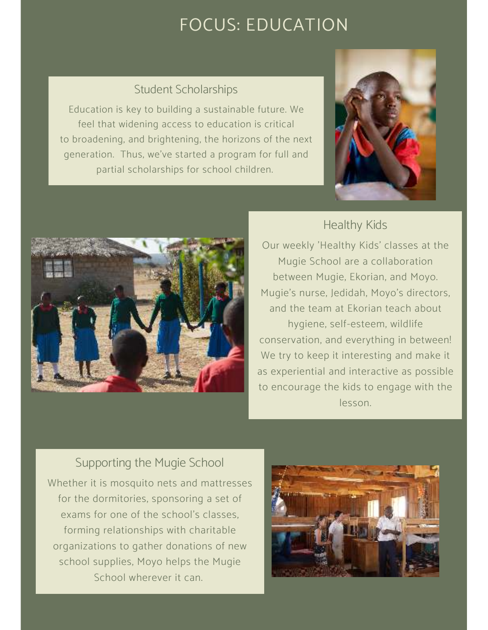# **FOCUS: EDUCATION**

#### Student Scholarships

Education is key to building a sustainable future. We feel that widening access to education is critical to broadening, and brightening, the horizons of the next generation. Thus, we've started a program for full and partial scholarships for school children.



#### Healthy Kids



Our weekly 'Healthy Kids' classes at the Mugie School are a collaboration between Mugie, Ekorian, and Moyo. Mugie's nurse, Jedidah, Moyo's directors, and the team at Ekorian teach about hygiene, self-esteem, wildlife conservation, and everything in between! We try to keep it interesting and make it as experiential and interactive as possible to encourage the kids to engage with the lesson.

#### Supporting the Mugie School

Whether it is mosquito nets and mattresses for the dormitories, sponsoring a set of exams for one of the school's classes, forming relationships with charitable organizations to gather donations of new school supplies, Moyo helps the Mugie School wherever it can.

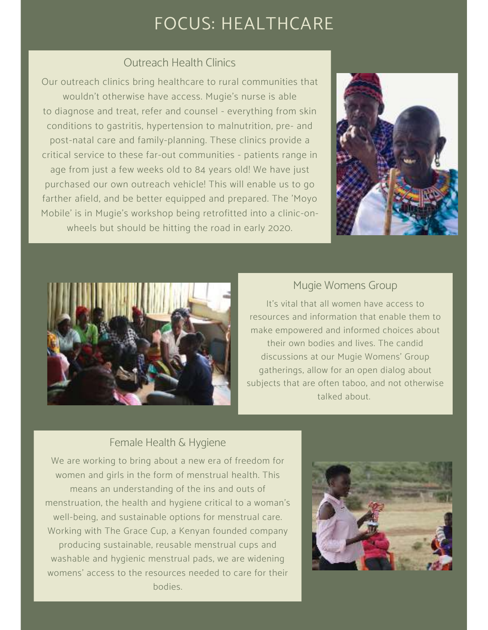# FOCUS: HEALTHCARE

#### Outreach Health Clinics

Our outreach clinics bring healthcare to rural communities that wouldn't otherwise have access. Mugie's nurse is able to diagnose and treat, refer and counsel - everything from skin conditions to gastritis, hypertension to malnutrition, pre- and post-natal care and family-planning. These clinics provide a critical service to these far-out communities - patients range in age from just a few weeks old to 84 years old! We have just purchased our own outreach vehicle! This will enable us to go farther afield, and be better equipped and prepared. The 'Moyo Mobile' is in Mugie's workshop being retrofitted into a clinic-onwheels but should be hitting the road in early 2020.





#### Mugie Womens Group

It's vital that all women have access to resources and information that enable them to make empowered and informed choices about their own bodies and lives. The candid discussions at our Mugie Womens' Group gatherings, allow for an open dialog about subjects that are often taboo, and not otherwise talked about.

#### Female Health & Hygiene

We are working to bring about a new era of freedom for women and girls in the form of menstrual health. This means an understanding of the ins and outs of menstruation, the health and hygiene critical to a woman's well-being, and sustainable options for menstrual care. Working with The Grace Cup, a Kenyan founded company producing sustainable, reusable menstrual cups and washable and hygienic menstrual pads, we are widening womens' access to the resources needed to care for their bodies.

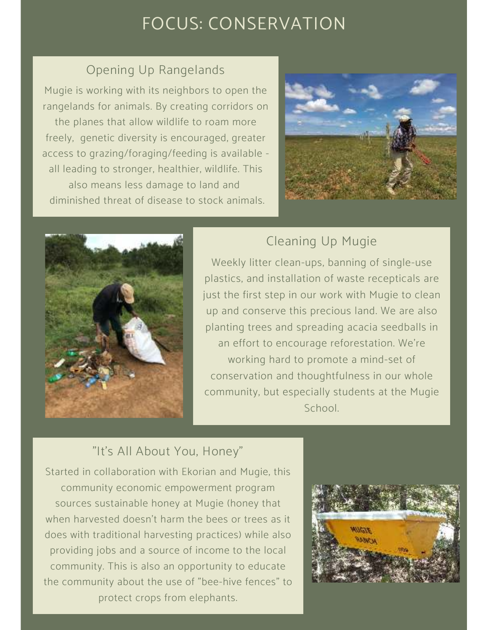# FOCUS: CONSERVATION

## Opening Up Rangelands

Mugie is working with its neighbors to open the rangelands for animals. By creating corridors on the planes that allow wildlife to roam more freely, genetic diversity is encouraged, greater access to grazing/foraging/feeding is available all leading to stronger, healthier, wildlife. This also means less damage to land and diminished threat of disease to stock animals.





## Cleaning Up Mugie

Weekly litter clean-ups, banning of single-use plastics, and installation of waste recepticals are just the first step in our work with Mugie to clean up and conserve this precious land. We are also planting trees and spreading acacia seedballs in an effort to encourage reforestation. We're working hard to promote a mind-set of conservation and thoughtfulness in our whole community, but especially students at the Mugie School.

## "It's All About You, Honey"

Started in collaboration with Ekorian and Mugie, this community economic empowerment program sources sustainable honey at Mugie (honey that when harvested doesn't harm the bees or trees as it does with traditional harvesting practices) while also providing jobs and a source of income to the local community. This is also an opportunity to educate the community about the use of "bee-hive fences" to protect crops from elephants.

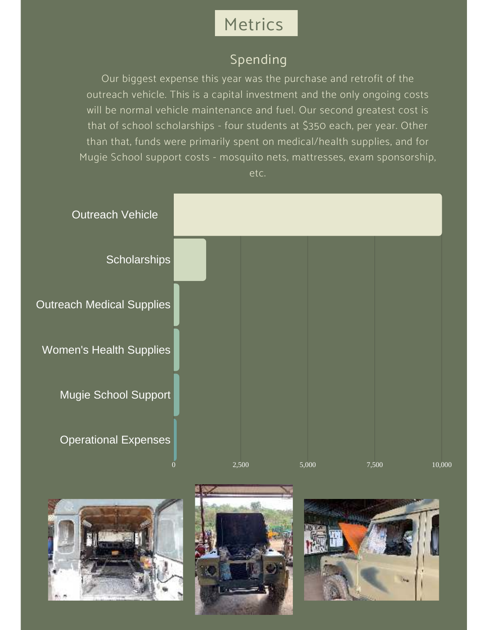# Metrics

## Spending

Our biggest expense this year was the purchase and retrofit of the outreach vehicle. This is a capital investment and the only ongoing costs will be normal vehicle maintenance and fuel. Our second greatest cost is that of school scholarships - four students at \$350 each, per year. Other than that, funds were primarily spent on medical/health supplies, and for Mugie School support costs - mosquito nets, mattresses, exam sponsorship, etc.







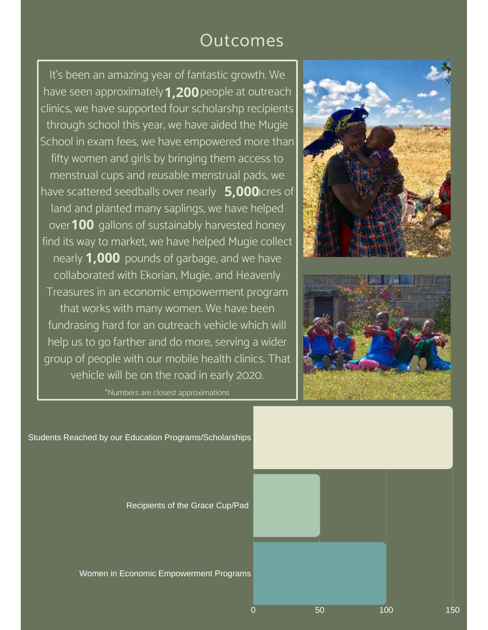# Outcomes

It's been an amazing year of fantastic growth. We have seen approximately **1,200** people at outreach clinics, we have supported four scholarshp recipients through school this year, we have aided the Mugie School in exam fees, we have empowered more than fifty women and girls by bringing them access to menstrual cups and reusable menstrual pads, we have scattered seedballs over nearly **5,000** cres of land and planted many saplings, we have helped over **100** gallons of sustainably harvested honey find its way to market, we have helped Mugie collect nearly **1,000** pounds of garbage, and we have collaborated with Ekorian, Mugie, and Heavenly Treasures in an economic empowerment program that works with many women. We have been fundrasing hard for an outreach vehicle which will help us to go farther and do more, serving a wider group of people with our mobile health clinics. That vehicle will be on the road in early 2020.

\*Numbers are closest approximations





Students Reached by our Education Programs/Scholarships

Recipients of the Grace Cup/Pad

Women in Economic Empowerment Programs

0 50 100 150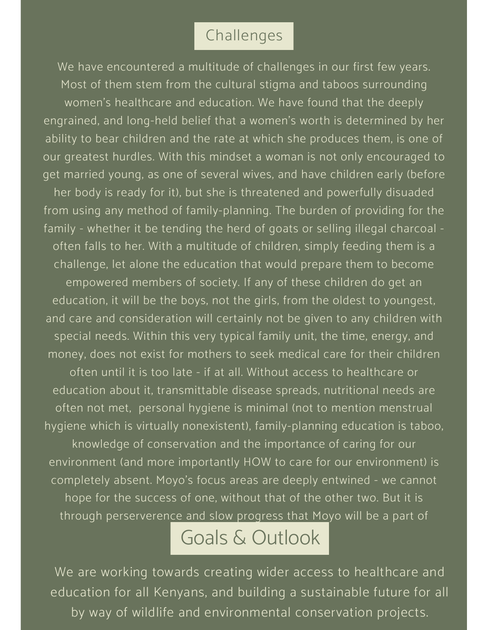## Challenges

We have encountered a multitude of challenges in our first few years. Most of them stem from the cultural stigma and taboos surrounding women's healthcare and education. We have found that the deeply engrained, and long-held belief that a women's worth is determined by her ability to bear children and the rate at which she produces them, is one of our greatest hurdles. With this mindset a woman is not only encouraged to get married young, as one of several wives, and have children early (before her body is ready for it), but she is threatened and powerfully disuaded from using any method of family-planning. The burden of providing for the family - whether it be tending the herd of goats or selling illegal charcoal often falls to her. With a multitude of children, simply feeding them is a challenge, let alone the education that would prepare them to become empowered members of society. If any of these children do get an education, it will be the boys, not the girls, from the oldest to youngest, and care and consideration will certainly not be given to any children with special needs. Within this very typical family unit, the time, energy, and money, does not exist for mothers to seek medical care for their children often until it is too late - if at all. Without access to healthcare or education about it, transmittable disease spreads, nutritional needs are often not met, personal hygiene is minimal (not to mention menstrual hygiene which is virtually nonexistent), family-planning education is taboo, knowledge of conservation and the importance of caring for our environment (and more importantly HOW to care for our environment) is completely absent. Moyo's focus areas are deeply entwined - we cannot hope for the success of one, without that of the other two. But it is through perserverence and slow progress that Moyo will be a part of

# Goals & Outlook

We are working towards creating wider access to healthcare and education for all Kenyans, and building a sustainable future for all by way of wildlife and environmental conservation projects.